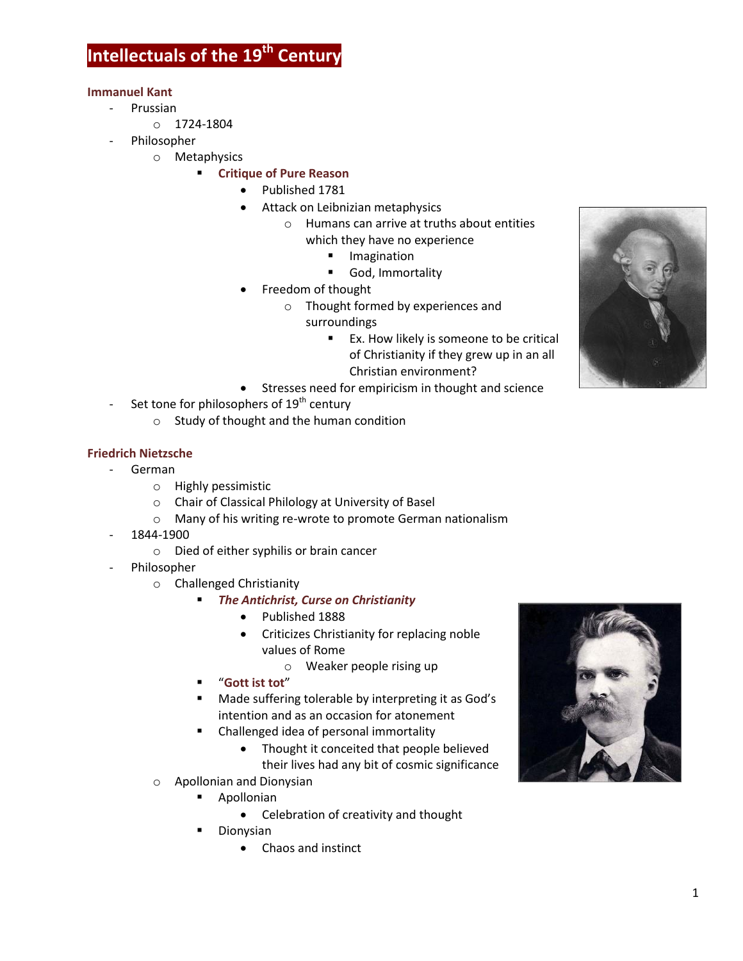# **Intellectuals of the 19th Century**

#### **Immanuel Kant**

- Prussian
	- o 1724-1804
- Philosopher
	- o Metaphysics
		- **Critique of Pure Reason**
			- Published 1781
			- Attack on Leibnizian metaphysics
				- o Humans can arrive at truths about entities
					- which they have no experience
						- **Imagination**
						- God, Immortality
			- Freedom of thought
				- o Thought formed by experiences and
					- surroundings
						- **EX.** How likely is someone to be critical of Christianity if they grew up in an all Christian environment?
			- **Stresses need for empiricism in thought and science**
- Set tone for philosophers of 19<sup>th</sup> century
	- o Study of thought and the human condition

### **Friedrich Nietzsche**

- German
	- o Highly pessimistic
	- o Chair of Classical Philology at University of Basel
	- o Many of his writing re-wrote to promote German nationalism
- 1844-1900
	- o Died of either syphilis or brain cancer
- Philosopher
	- o Challenged Christianity
		- *The Antichrist, Curse on Christianity*
			- Published 1888
			- Criticizes Christianity for replacing noble values of Rome
				- o Weaker people rising up
		- "**Gott ist tot**"
		- Made suffering tolerable by interpreting it as God's intention and as an occasion for atonement
		- Challenged idea of personal immortality
			- Thought it conceited that people believed their lives had any bit of cosmic significance
	- o Apollonian and Dionysian
		- **Apollonian** 
			- Celebration of creativity and thought
		- **Dionysian** 
			- Chaos and instinct



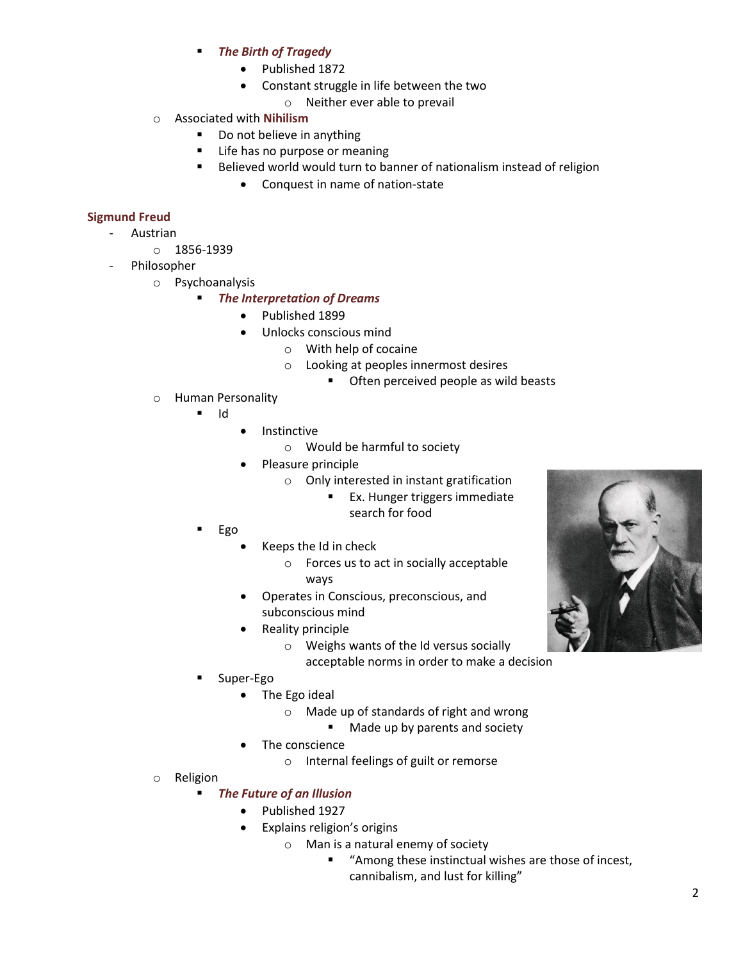- *The Birth of Tragedy*
	- Published 1872
	- Constant struggle in life between the two
		- o Neither ever able to prevail
- o Associated with **Nihilism**
	- Do not believe in anything
	- **EXEC** Life has no purpose or meaning
	- Believed world would turn to banner of nationalism instead of religion
		- Conquest in name of nation-state

## **Sigmund Freud**

- Austrian
	- o 1856-1939
- Philosopher
	- o Psychoanalysis
		- *The Interpretation of Dreams*
			- Published 1899
				- Unlocks conscious mind
					- o With help of cocaine
						- o Looking at peoples innermost desires
							- **•** Often perceived people as wild beasts
	- o Human Personality
		- Id
			- Instinctive
				- o Would be harmful to society
			- Pleasure principle
				- o Only interested in instant gratification
					- **Ex.** Hunger triggers immediate search for food
		- Ego
			- Keeps the Id in check
				- o Forces us to act in socially acceptable ways
			- Operates in Conscious, preconscious, and subconscious mind
			- Reality principle
				- o Weighs wants of the Id versus socially

acceptable norms in order to make a decision

- Super-Ego
	- The Ego ideal
		- o Made up of standards of right and wrong
			- **Made up by parents and society**
	- The conscience
		- o Internal feelings of guilt or remorse
- o Religion

## *The Future of an Illusion*

- Published 1927
- Explains religion's origins
	- o Man is a natural enemy of society
		- "Among these instinctual wishes are those of incest, cannibalism, and lust for killing"